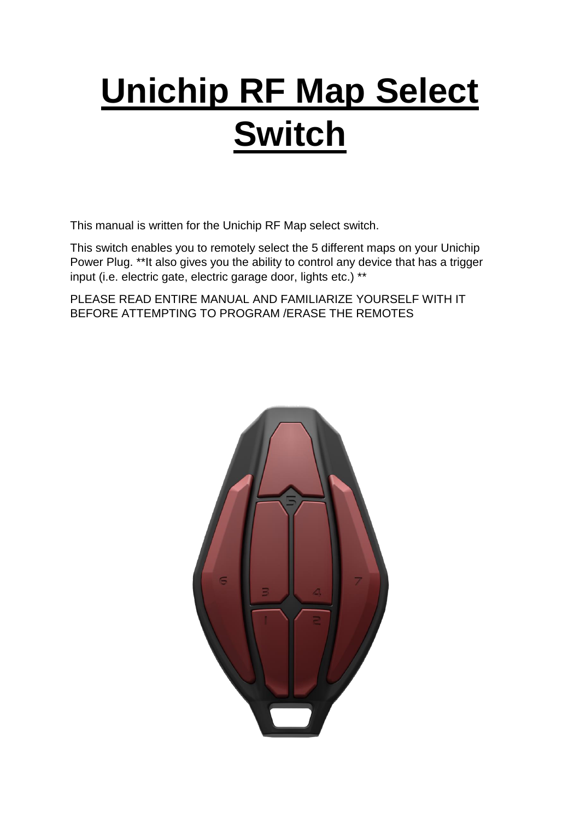# **Unichip RF Map Select Switch**

This manual is written for the Unichip RF Map select switch.

This switch enables you to remotely select the 5 different maps on your Unichip Power Plug. \*\*It also gives you the ability to control any device that has a trigger input (i.e. electric gate, electric garage door, lights etc.) \*\*

PLEASE READ ENTIRE MANUAL AND FAMILIARIZE YOURSELF WITH IT BEFORE ATTEMPTING TO PROGRAM /ERASE THE REMOTES

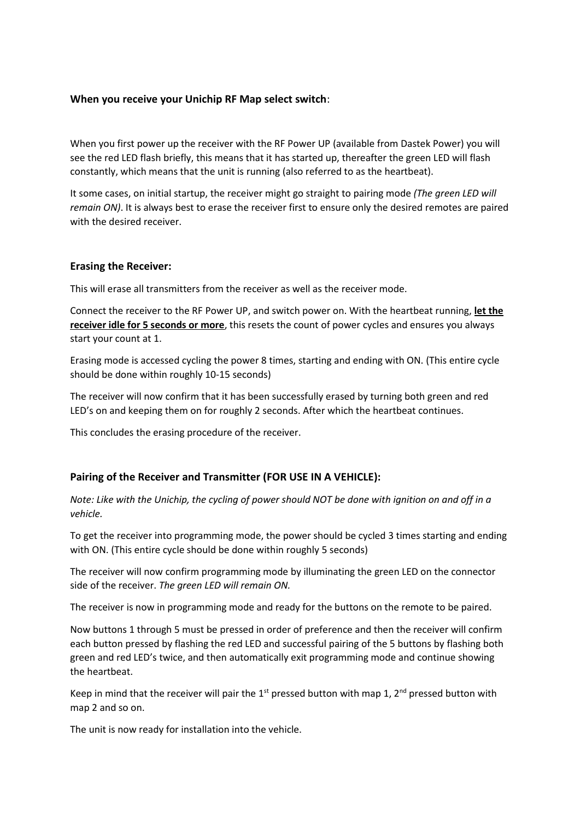## **When you receive your Unichip RF Map select switch**:

When you first power up the receiver with the RF Power UP (available from Dastek Power) you will see the red LED flash briefly, this means that it has started up, thereafter the green LED will flash constantly, which means that the unit is running (also referred to as the heartbeat).

It some cases, on initial startup, the receiver might go straight to pairing mode *(The green LED will remain ON)*. It is always best to erase the receiver first to ensure only the desired remotes are paired with the desired receiver.

#### **Erasing the Receiver:**

This will erase all transmitters from the receiver as well as the receiver mode.

Connect the receiver to the RF Power UP, and switch power on. With the heartbeat running, **let the receiver idle for 5 seconds or more**, this resets the count of power cycles and ensures you always start your count at 1.

Erasing mode is accessed cycling the power 8 times, starting and ending with ON. (This entire cycle should be done within roughly 10-15 seconds)

The receiver will now confirm that it has been successfully erased by turning both green and red LED's on and keeping them on for roughly 2 seconds. After which the heartbeat continues.

This concludes the erasing procedure of the receiver.

# **Pairing of the Receiver and Transmitter (FOR USE IN A VEHICLE):**

*Note: Like with the Unichip, the cycling of power should NOT be done with ignition on and off in a vehicle.*

To get the receiver into programming mode, the power should be cycled 3 times starting and ending with ON. (This entire cycle should be done within roughly 5 seconds)

The receiver will now confirm programming mode by illuminating the green LED on the connector side of the receiver. *The green LED will remain ON.*

The receiver is now in programming mode and ready for the buttons on the remote to be paired.

Now buttons 1 through 5 must be pressed in order of preference and then the receiver will confirm each button pressed by flashing the red LED and successful pairing of the 5 buttons by flashing both green and red LED's twice, and then automatically exit programming mode and continue showing the heartbeat.

Keep in mind that the receiver will pair the  $1<sup>st</sup>$  pressed button with map 1,  $2<sup>nd</sup>$  pressed button with map 2 and so on.

The unit is now ready for installation into the vehicle.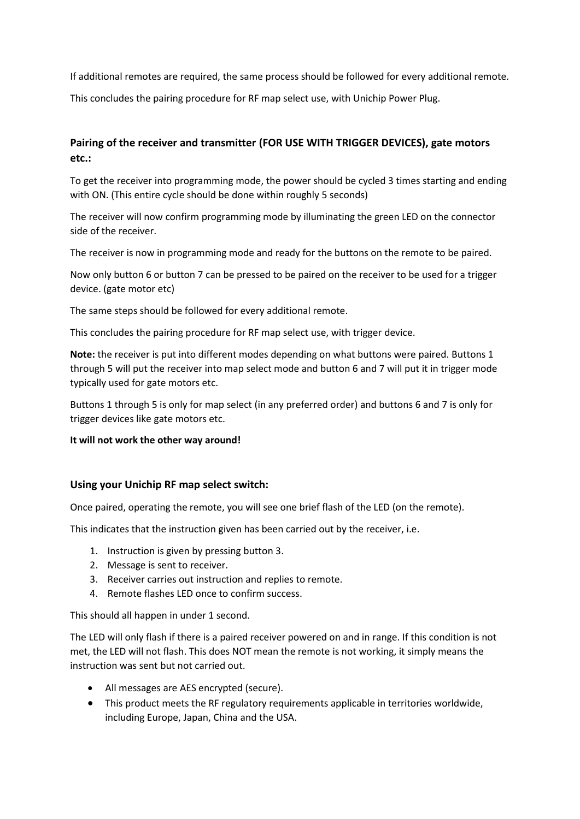If additional remotes are required, the same process should be followed for every additional remote.

This concludes the pairing procedure for RF map select use, with Unichip Power Plug.

# **Pairing of the receiver and transmitter (FOR USE WITH TRIGGER DEVICES), gate motors etc.:**

To get the receiver into programming mode, the power should be cycled 3 times starting and ending with ON. (This entire cycle should be done within roughly 5 seconds)

The receiver will now confirm programming mode by illuminating the green LED on the connector side of the receiver.

The receiver is now in programming mode and ready for the buttons on the remote to be paired.

Now only button 6 or button 7 can be pressed to be paired on the receiver to be used for a trigger device. (gate motor etc)

The same steps should be followed for every additional remote.

This concludes the pairing procedure for RF map select use, with trigger device.

**Note:** the receiver is put into different modes depending on what buttons were paired. Buttons 1 through 5 will put the receiver into map select mode and button 6 and 7 will put it in trigger mode typically used for gate motors etc.

Buttons 1 through 5 is only for map select (in any preferred order) and buttons 6 and 7 is only for trigger devices like gate motors etc.

# **It will not work the other way around!**

# **Using your Unichip RF map select switch:**

Once paired, operating the remote, you will see one brief flash of the LED (on the remote).

This indicates that the instruction given has been carried out by the receiver, i.e.

- 1. Instruction is given by pressing button 3.
- 2. Message is sent to receiver.
- 3. Receiver carries out instruction and replies to remote.
- 4. Remote flashes LED once to confirm success.

This should all happen in under 1 second.

The LED will only flash if there is a paired receiver powered on and in range. If this condition is not met, the LED will not flash. This does NOT mean the remote is not working, it simply means the instruction was sent but not carried out.

- All messages are AES encrypted (secure).
- This product meets the RF regulatory requirements applicable in territories worldwide, including Europe, Japan, China and the USA.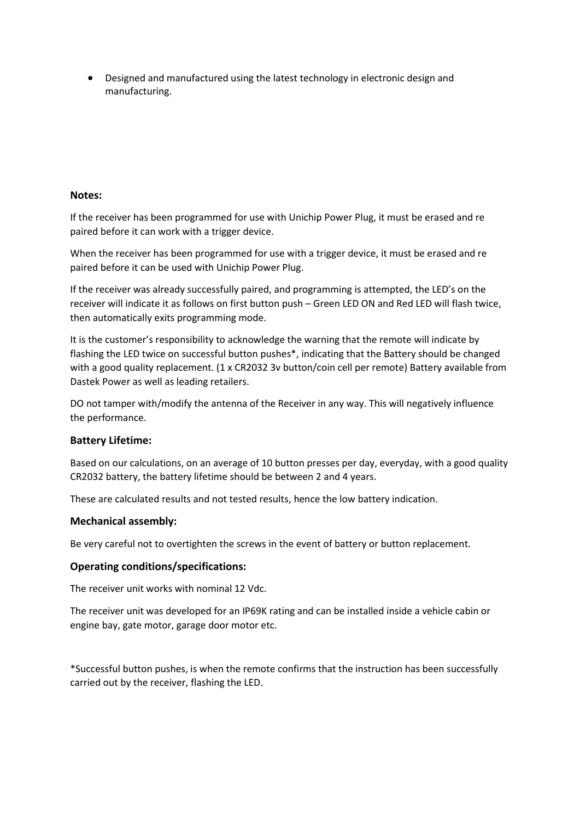Designed and manufactured using the latest technology in electronic design and manufacturing.

### **Notes:**

If the receiver has been programmed for use with Unichip Power Plug, it must be erased and re paired before it can work with a trigger device.

When the receiver has been programmed for use with a trigger device, it must be erased and re paired before it can be used with Unichip Power Plug.

If the receiver was already successfully paired, and programming is attempted, the LED's on the receiver will indicate it as follows on first button push – Green LED ON and Red LED will flash twice, then automatically exits programming mode.

It is the customer's responsibility to acknowledge the warning that the remote will indicate by flashing the LED twice on successful button pushes\*, indicating that the Battery should be changed with a good quality replacement. (1 x CR2032 3v button/coin cell per remote) Battery available from Dastek Power as well as leading retailers.

DO not tamper with/modify the antenna of the Receiver in any way. This will negatively influence the performance.

#### **Battery Lifetime:**

Based on our calculations, on an average of 10 button presses per day, everyday, with a good quality CR2032 battery, the battery lifetime should be between 2 and 4 years.

These are calculated results and not tested results, hence the low battery indication.

#### **Mechanical assembly:**

Be very careful not to overtighten the screws in the event of battery or button replacement.

#### **Operating conditions/specifications:**

The receiver unit works with nominal 12 Vdc.

The receiver unit was developed for an IP69K rating and can be installed inside a vehicle cabin or engine bay, gate motor, garage door motor etc.

\*Successful button pushes, is when the remote confirms that the instruction has been successfully carried out by the receiver, flashing the LED.